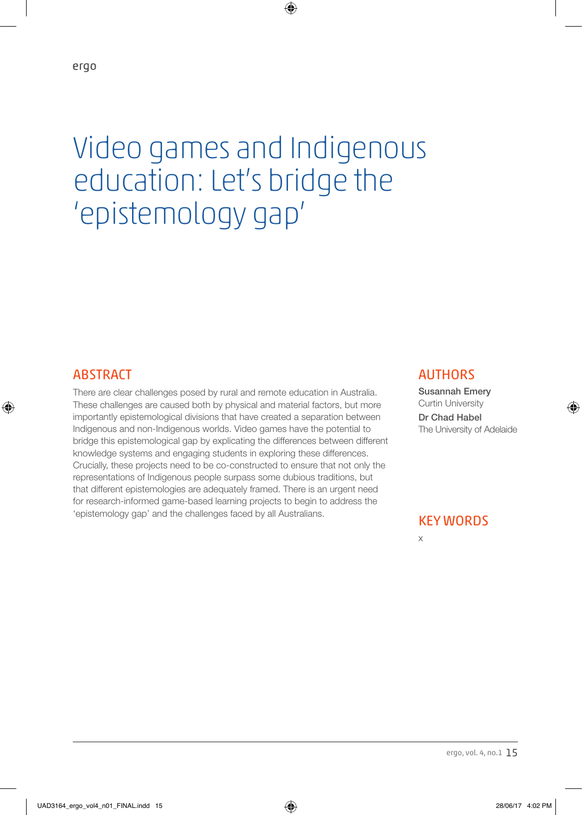# Video games and Indigenous education: Let's bridge the 'epistemology gap'

♠

#### ABSTRACT

♠

There are clear challenges posed by rural and remote education in Australia. These challenges are caused both by physical and material factors, but more importantly epistemological divisions that have created a separation between Indigenous and non-Indigenous worlds. Video games have the potential to bridge this epistemological gap by explicating the differences between different knowledge systems and engaging students in exploring these differences. Crucially, these projects need to be co-constructed to ensure that not only the representations of Indigenous people surpass some dubious traditions, but that different epistemologies are adequately framed. There is an urgent need for research-informed game-based learning projects to begin to address the 'epistemology gap' and the challenges faced by all Australians.

#### **AUTHORS**

Susannah Emery Curtin University Dr Chad Habel The University of Adelaide

♠

#### KEY WORDS

x

ergo, vol. 4, no.1 15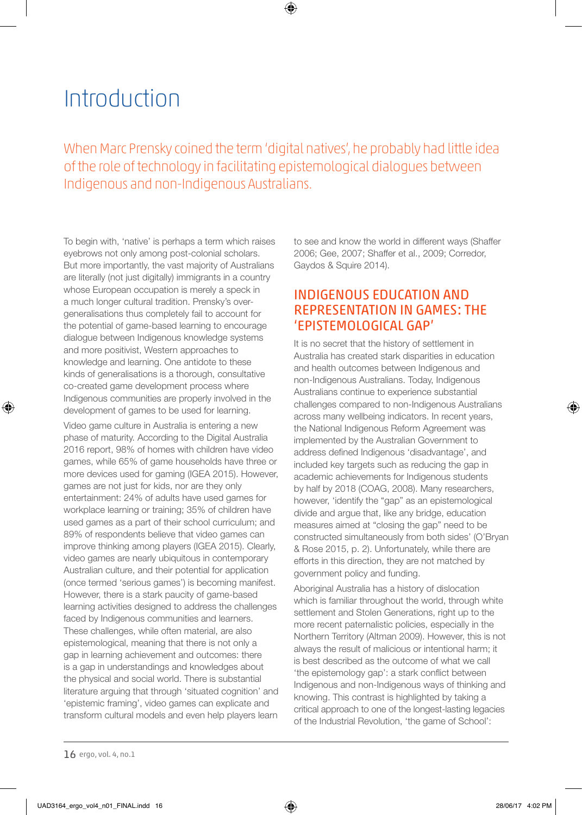## Introduction

When Marc Prensky coined the term 'digital natives', he probably had little idea of the role of technology in facilitating epistemological dialogues between Indigenous and non-Indigenous Australians.

⊕

To begin with, 'native' is perhaps a term which raises eyebrows not only among post-colonial scholars. But more importantly, the vast majority of Australians are literally (not just digitally) immigrants in a country whose European occupation is merely a speck in a much longer cultural tradition. Prensky's overgeneralisations thus completely fail to account for the potential of game-based learning to encourage dialogue between Indigenous knowledge systems and more positivist, Western approaches to knowledge and learning. One antidote to these kinds of generalisations is a thorough, consultative co-created game development process where Indigenous communities are properly involved in the development of games to be used for learning.

Video game culture in Australia is entering a new phase of maturity. According to the Digital Australia 2016 report, 98% of homes with children have video games, while 65% of game households have three or more devices used for gaming (IGEA 2015). However, games are not just for kids, nor are they only entertainment: 24% of adults have used games for workplace learning or training; 35% of children have used games as a part of their school curriculum; and 89% of respondents believe that video games can improve thinking among players (IGEA 2015). Clearly, video games are nearly ubiquitous in contemporary Australian culture, and their potential for application (once termed 'serious games') is becoming manifest. However, there is a stark paucity of game-based learning activities designed to address the challenges faced by Indigenous communities and learners. These challenges, while often material, are also epistemological, meaning that there is not only a gap in learning achievement and outcomes: there is a gap in understandings and knowledges about the physical and social world. There is substantial literature arguing that through 'situated cognition' and 'epistemic framing', video games can explicate and transform cultural models and even help players learn

to see and know the world in different ways (Shaffer 2006; Gee, 2007; Shaffer et al., 2009; Corredor, Gaydos & Squire 2014).

### INDIGENOUS EDUCATION AND REPRESENTATION IN GAMES: THE 'EPISTEMOLOGICAL GAP'

It is no secret that the history of settlement in Australia has created stark disparities in education and health outcomes between Indigenous and non-Indigenous Australians. Today, Indigenous Australians continue to experience substantial challenges compared to non-Indigenous Australians across many wellbeing indicators. In recent years, the National Indigenous Reform Agreement was implemented by the Australian Government to address defined Indigenous 'disadvantage', and included key targets such as reducing the gap in academic achievements for Indigenous students by half by 2018 (COAG, 2008). Many researchers, however, 'identify the "gap" as an epistemological divide and argue that, like any bridge, education measures aimed at "closing the gap" need to be constructed simultaneously from both sides' (O'Bryan & Rose 2015, p. 2). Unfortunately, while there are efforts in this direction, they are not matched by government policy and funding.

Aboriginal Australia has a history of dislocation which is familiar throughout the world, through white settlement and Stolen Generations, right up to the more recent paternalistic policies, especially in the Northern Territory (Altman 2009). However, this is not always the result of malicious or intentional harm; it is best described as the outcome of what we call 'the epistemology gap': a stark conflict between Indigenous and non-Indigenous ways of thinking and knowing. This contrast is highlighted by taking a critical approach to one of the longest-lasting legacies of the Industrial Revolution, 'the game of School':

⊕

<sup>16</sup> ergo, vol. 4, no.1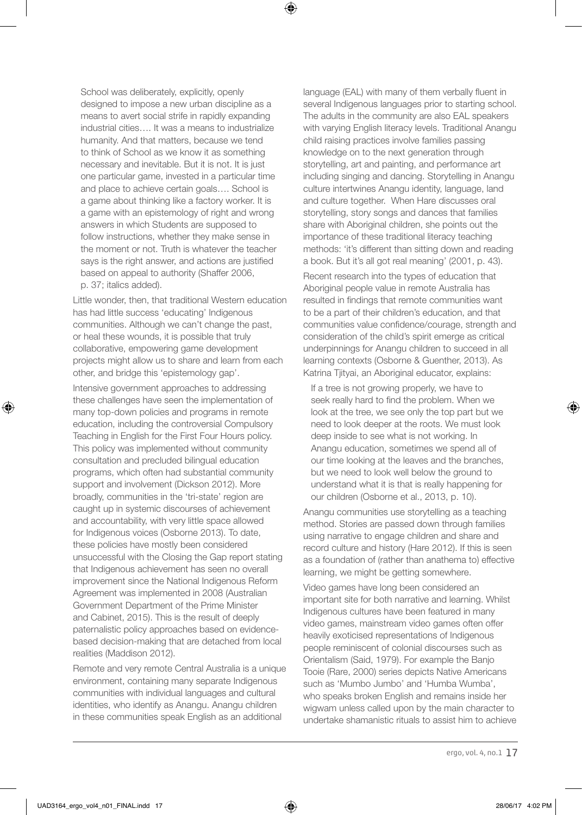School was deliberately, explicitly, openly designed to impose a new urban discipline as a means to avert social strife in rapidly expanding industrial cities…. It was a means to industrialize humanity. And that matters, because we tend to think of School as we know it as something necessary and inevitable. But it is not. It is just one particular game, invested in a particular time and place to achieve certain goals…. School is a game about thinking like a factory worker. It is a game with an epistemology of right and wrong answers in which Students are supposed to follow instructions, whether they make sense in the moment or not. Truth is whatever the teacher says is the right answer, and actions are justified based on appeal to authority (Shaffer 2006, p. 37; italics added).

Little wonder, then, that traditional Western education has had little success 'educating' Indigenous communities. Although we can't change the past, or heal these wounds, it is possible that truly collaborative, empowering game development projects might allow us to share and learn from each other, and bridge this 'epistemology gap'.

Intensive government approaches to addressing these challenges have seen the implementation of many top-down policies and programs in remote education, including the controversial Compulsory Teaching in English for the First Four Hours policy. This policy was implemented without community consultation and precluded bilingual education programs, which often had substantial community support and involvement (Dickson 2012). More broadly, communities in the 'tri-state' region are caught up in systemic discourses of achievement and accountability, with very little space allowed for Indigenous voices (Osborne 2013). To date, these policies have mostly been considered unsuccessful with the Closing the Gap report stating that Indigenous achievement has seen no overall improvement since the National Indigenous Reform Agreement was implemented in 2008 (Australian Government Department of the Prime Minister and Cabinet, 2015). This is the result of deeply paternalistic policy approaches based on evidencebased decision-making that are detached from local realities (Maddison 2012).

Remote and very remote Central Australia is a unique environment, containing many separate Indigenous communities with individual languages and cultural identities, who identify as Anangu. Anangu children in these communities speak English as an additional

language (EAL) with many of them verbally fluent in several Indigenous languages prior to starting school. The adults in the community are also EAL speakers with varying English literacy levels. Traditional Anangu child raising practices involve families passing knowledge on to the next generation through storytelling, art and painting, and performance art including singing and dancing. Storytelling in Anangu culture intertwines Anangu identity, language, land and culture together. When Hare discusses oral storytelling, story songs and dances that families share with Aboriginal children, she points out the importance of these traditional literacy teaching methods: 'it's different than sitting down and reading a book. But it's all got real meaning' (2001, p. 43).

Recent research into the types of education that Aboriginal people value in remote Australia has resulted in findings that remote communities want to be a part of their children's education, and that communities value confidence/courage, strength and consideration of the child's spirit emerge as critical underpinnings for Anangu children to succeed in all learning contexts (Osborne & Guenther, 2013). As Katrina Tjityai, an Aboriginal educator, explains:

 If a tree is not growing properly, we have to seek really hard to find the problem. When we look at the tree, we see only the top part but we need to look deeper at the roots. We must look deep inside to see what is not working. In Anangu education, sometimes we spend all of our time looking at the leaves and the branches, but we need to look well below the ground to understand what it is that is really happening for our children (Osborne et al., 2013, p. 10).

Anangu communities use storytelling as a teaching method. Stories are passed down through families using narrative to engage children and share and record culture and history (Hare 2012). If this is seen as a foundation of (rather than anathema to) effective learning, we might be getting somewhere.

Video games have long been considered an important site for both narrative and learning. Whilst Indigenous cultures have been featured in many video games, mainstream video games often offer heavily exoticised representations of Indigenous people reminiscent of colonial discourses such as Orientalism (Said, 1979). For example the Banjo Tooie (Rare, 2000) series depicts Native Americans such as 'Mumbo Jumbo' and 'Humba Wumba', who speaks broken English and remains inside her wigwam unless called upon by the main character to undertake shamanistic rituals to assist him to achieve

ergo, vol. 4, no.1 17

⊕

⊕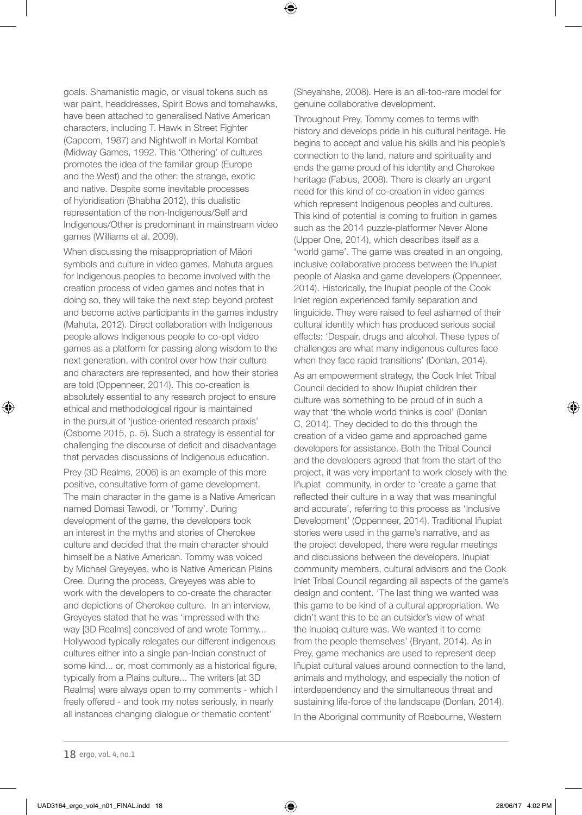goals. Shamanistic magic, or visual tokens such as war paint, headdresses, Spirit Bows and tomahawks, have been attached to generalised Native American characters, including T. Hawk in Street Fighter (Capcom, 1987) and Nightwolf in Mortal Kombat (Midway Games, 1992. This 'Othering' of cultures promotes the idea of the familiar group (Europe and the West) and the other: the strange, exotic and native. Despite some inevitable processes of hybridisation (Bhabha 2012), this dualistic representation of the non-Indigenous/Self and Indigenous/Other is predominant in mainstream video games (Williams et al. 2009).

When discussing the misappropriation of Mäori symbols and culture in video games, Mahuta argues for Indigenous peoples to become involved with the creation process of video games and notes that in doing so, they will take the next step beyond protest and become active participants in the games industry (Mahuta, 2012). Direct collaboration with Indigenous people allows Indigenous people to co-opt video games as a platform for passing along wisdom to the next generation, with control over how their culture and characters are represented, and how their stories are told (Oppenneer, 2014). This co-creation is absolutely essential to any research project to ensure ethical and methodological rigour is maintained in the pursuit of 'justice-oriented research praxis' (Osborne 2015, p. 5). Such a strategy is essential for challenging the discourse of deficit and disadvantage that pervades discussions of Indigenous education.

Prey (3D Realms, 2006) is an example of this more positive, consultative form of game development. The main character in the game is a Native American named Domasi Tawodi, or 'Tommy'. During development of the game, the developers took an interest in the myths and stories of Cherokee culture and decided that the main character should himself be a Native American. Tommy was voiced by Michael Greyeyes, who is Native American Plains Cree. During the process, Greyeyes was able to work with the developers to co-create the character and depictions of Cherokee culture. In an interview, Greyeyes stated that he was 'impressed with the way [3D Realms] conceived of and wrote Tommy... Hollywood typically relegates our different indigenous cultures either into a single pan-Indian construct of some kind... or, most commonly as a historical figure, typically from a Plains culture... The writers [at 3D Realms] were always open to my comments - which I freely offered - and took my notes seriously, in nearly all instances changing dialogue or thematic content'

(Sheyahshe, 2008). Here is an all-too-rare model for genuine collaborative development.

⊕

Throughout Prey, Tommy comes to terms with history and develops pride in his cultural heritage. He begins to accept and value his skills and his people's connection to the land, nature and spirituality and ends the game proud of his identity and Cherokee heritage (Fabius, 2008). There is clearly an urgent need for this kind of co-creation in video games which represent Indigenous peoples and cultures. This kind of potential is coming to fruition in games such as the 2014 puzzle-platformer Never Alone (Upper One, 2014), which describes itself as a 'world game'. The game was created in an ongoing, inclusive collaborative process between the Iñupiat people of Alaska and game developers (Oppenneer, 2014). Historically, the Iñupiat people of the Cook Inlet region experienced family separation and linguicide. They were raised to feel ashamed of their cultural identity which has produced serious social effects: 'Despair, drugs and alcohol. These types of challenges are what many indigenous cultures face when they face rapid transitions' (Donlan, 2014).

As an empowerment strategy, the Cook Inlet Tribal Council decided to show Iñupiat children their culture was something to be proud of in such a way that 'the whole world thinks is cool' (Donlan C, 2014). They decided to do this through the creation of a video game and approached game developers for assistance. Both the Tribal Council and the developers agreed that from the start of the project, it was very important to work closely with the Iñupiat community, in order to 'create a game that reflected their culture in a way that was meaningful and accurate', referring to this process as 'Inclusive Development' (Oppenneer, 2014). Traditional Iñupiat stories were used in the game's narrative, and as the project developed, there were regular meetings and discussions between the developers, Iñupiat community members, cultural advisors and the Cook Inlet Tribal Council regarding all aspects of the game's design and content. 'The last thing we wanted was this game to be kind of a cultural appropriation. We didn't want this to be an outsider's view of what the Inupiaq culture was. We wanted it to come from the people themselves' (Bryant, 2014). As in Prey, game mechanics are used to represent deep Iñupiat cultural values around connection to the land, animals and mythology, and especially the notion of interdependency and the simultaneous threat and sustaining life-force of the landscape (Donlan, 2014). In the Aboriginal community of Roebourne, Western

⊕

⊕

<sup>18</sup> ergo, vol. 4, no.1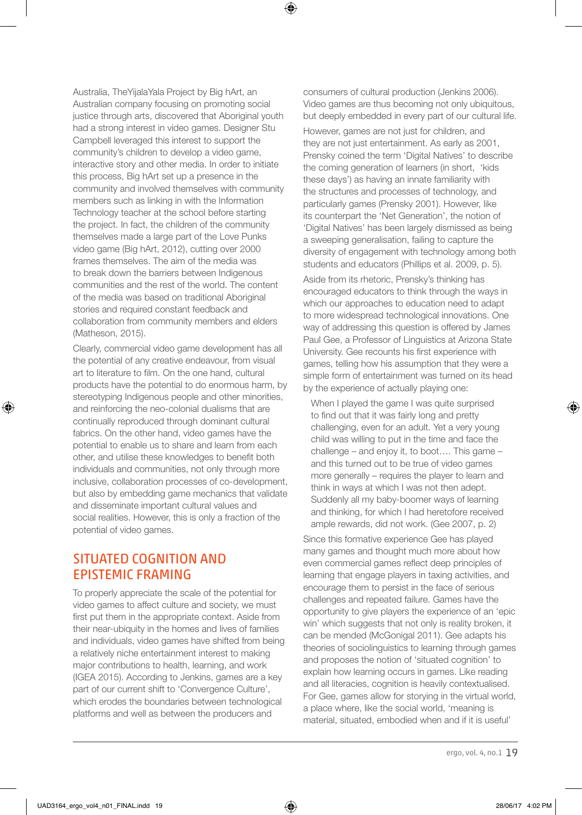Australia, TheYijalaYala Project by Big hArt, an Australian company focusing on promoting social justice through arts, discovered that Aboriginal youth had a strong interest in video games. Designer Stu Campbell leveraged this interest to support the community's children to develop a video game, interactive story and other media. In order to initiate this process, Big hArt set up a presence in the community and involved themselves with community members such as linking in with the Information Technology teacher at the school before starting the project. In fact, the children of the community themselves made a large part of the Love Punks video game (Big hArt, 2012), cutting over 2000 frames themselves. The aim of the media was to break down the barriers between Indigenous communities and the rest of the world. The content of the media was based on traditional Aboriginal stories and required constant feedback and collaboration from community members and elders (Matheson, 2015).

Clearly, commercial video game development has all the potential of any creative endeavour, from visual art to literature to film. On the one hand, cultural products have the potential to do enormous harm, by stereotyping Indigenous people and other minorities, and reinforcing the neo-colonial dualisms that are continually reproduced through dominant cultural fabrics. On the other hand, video games have the potential to enable us to share and learn from each other, and utilise these knowledges to benefit both individuals and communities, not only through more inclusive, collaboration processes of co-development, but also by embedding game mechanics that validate and disseminate important cultural values and social realities. However, this is only a fraction of the potential of video games.

### SITUATED COGNITION AND EPISTEMIC FRAMING

To properly appreciate the scale of the potential for video games to affect culture and society, we must first put them in the appropriate context. Aside from their near-ubiquity in the homes and lives of families and individuals, video games have shifted from being a relatively niche entertainment interest to making major contributions to health, learning, and work (IGEA 2015). According to Jenkins, games are a key part of our current shift to 'Convergence Culture', which erodes the boundaries between technological platforms and well as between the producers and

consumers of cultural production (Jenkins 2006). Video games are thus becoming not only ubiquitous, but deeply embedded in every part of our cultural life.

⊕

However, games are not just for children, and they are not just entertainment. As early as 2001, Prensky coined the term 'Digital Natives' to describe the coming generation of learners (in short, 'kids these days') as having an innate familiarity with the structures and processes of technology, and particularly games (Prensky 2001). However, like its counterpart the 'Net Generation', the notion of 'Digital Natives' has been largely dismissed as being a sweeping generalisation, failing to capture the diversity of engagement with technology among both students and educators (Phillips et al. 2009, p. 5). Aside from its rhetoric, Prensky's thinking has encouraged educators to think through the ways in which our approaches to education need to adapt to more widespread technological innovations. One way of addressing this question is offered by James Paul Gee, a Professor of Linguistics at Arizona State University. Gee recounts his first experience with games, telling how his assumption that they were a simple form of entertainment was turned on its head by the experience of actually playing one:

 When I played the game I was quite surprised to find out that it was fairly long and pretty challenging, even for an adult. Yet a very young child was willing to put in the time and face the challenge – and enjoy it, to boot…. This game – and this turned out to be true of video games more generally – requires the player to learn and think in ways at which I was not then adept. Suddenly all my baby-boomer ways of learning and thinking, for which I had heretofore received ample rewards, did not work. (Gee 2007, p. 2)

Since this formative experience Gee has played many games and thought much more about how even commercial games reflect deep principles of learning that engage players in taxing activities, and encourage them to persist in the face of serious challenges and repeated failure. Games have the opportunity to give players the experience of an 'epic win' which suggests that not only is reality broken, it can be mended (McGonigal 2011). Gee adapts his theories of sociolinguistics to learning through games and proposes the notion of 'situated cognition' to explain how learning occurs in games. Like reading and all literacies, cognition is heavily contextualised. For Gee, games allow for storying in the virtual world, a place where, like the social world, 'meaning is material, situated, embodied when and if it is useful'

UAD3164\_ergo\_vol4\_n01\_FINAL.indd 19 28/06/17 4:02 PM

⊕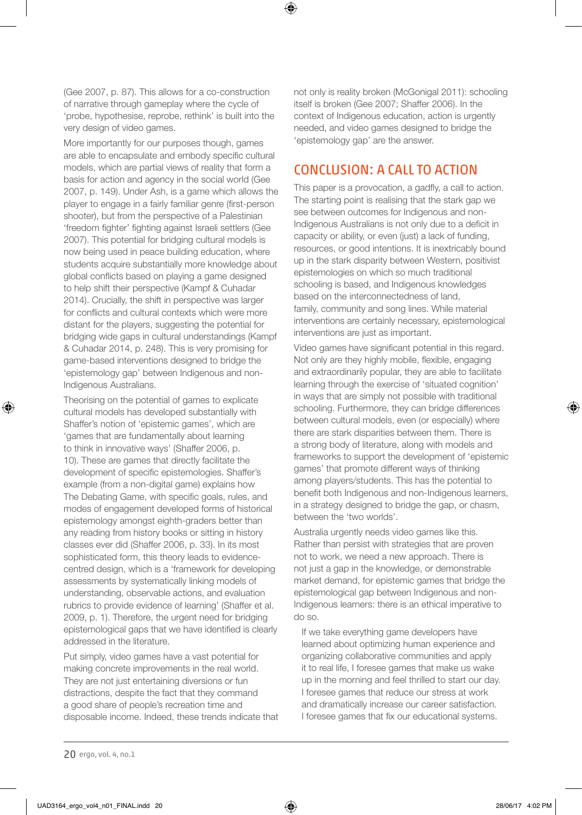(Gee 2007, p. 87). This allows for a co-construction of narrative through gameplay where the cycle of 'probe, hypothesise, reprobe, rethink' is built into the very design of video games.

More importantly for our purposes though, games are able to encapsulate and embody specific cultural models, which are partial views of reality that form a basis for action and agency in the social world (Gee 2007, p. 149). Under Ash, is a game which allows the player to engage in a fairly familiar genre (first-person shooter), but from the perspective of a Palestinian 'freedom fighter' fighting against Israeli settlers (Gee 2007). This potential for bridging cultural models is now being used in peace building education, where students acquire substantially more knowledge about global conflicts based on playing a game designed to help shift their perspective (Kampf & Cuhadar 2014). Crucially, the shift in perspective was larger for conflicts and cultural contexts which were more distant for the players, suggesting the potential for bridging wide gaps in cultural understandings (Kampf & Cuhadar 2014, p. 248). This is very promising for game-based interventions designed to bridge the 'epistemology gap' between Indigenous and non-Indigenous Australians.

Theorising on the potential of games to explicate cultural models has developed substantially with Shaffer's notion of 'epistemic games', which are 'games that are fundamentally about learning to think in innovative ways' (Shaffer 2006, p. 10). These are games that directly facilitate the development of specific epistemologies. Shaffer's example (from a non-digital game) explains how The Debating Game, with specific goals, rules, and modes of engagement developed forms of historical epistemology amongst eighth-graders better than any reading from history books or sitting in history classes ever did (Shaffer 2006, p. 33). In its most sophisticated form, this theory leads to evidencecentred design, which is a 'framework for developing assessments by systematically linking models of understanding, observable actions, and evaluation rubrics to provide evidence of learning' (Shaffer et al. 2009, p. 1). Therefore, the urgent need for bridging epistemological gaps that we have identified is clearly addressed in the literature.

Put simply, video games have a vast potential for making concrete improvements in the real world. They are not just entertaining diversions or fun distractions, despite the fact that they command a good share of people's recreation time and disposable income. Indeed, these trends indicate that not only is reality broken (McGonigal 2011): schooling itself is broken (Gee 2007; Shaffer 2006). In the context of Indigenous education, action is urgently needed, and video games designed to bridge the 'epistemology gap' are the answer.

#### CONCLUSION: A CALL TO ACTION

⊕

This paper is a provocation, a gadfly, a call to action. The starting point is realising that the stark gap we see between outcomes for Indigenous and non-Indigenous Australians is not only due to a deficit in capacity or ability, or even (just) a lack of funding, resources, or good intentions. It is inextricably bound up in the stark disparity between Western, positivist epistemologies on which so much traditional schooling is based, and Indigenous knowledges based on the interconnectedness of land, family, community and song lines. While material interventions are certainly necessary, epistemological interventions are just as important.

Video games have significant potential in this regard. Not only are they highly mobile, flexible, engaging and extraordinarily popular, they are able to facilitate learning through the exercise of 'situated cognition' in ways that are simply not possible with traditional schooling. Furthermore, they can bridge differences between cultural models, even (or especially) where there are stark disparities between them. There is a strong body of literature, along with models and frameworks to support the development of 'epistemic games' that promote different ways of thinking among players/students. This has the potential to benefit both Indigenous and non-Indigenous learners, in a strategy designed to bridge the gap, or chasm, between the 'two worlds'.

Australia urgently needs video games like this. Rather than persist with strategies that are proven not to work, we need a new approach. There is not just a gap in the knowledge, or demonstrable market demand, for epistemic games that bridge the epistemological gap between Indigenous and non-Indigenous learners: there is an ethical imperative to do so.

 If we take everything game developers have learned about optimizing human experience and organizing collaborative communities and apply it to real life, I foresee games that make us wake up in the morning and feel thrilled to start our day. I foresee games that reduce our stress at work and dramatically increase our career satisfaction. I foresee games that fix our educational systems.

⊕

<sup>20</sup> ergo, vol. 4, no.1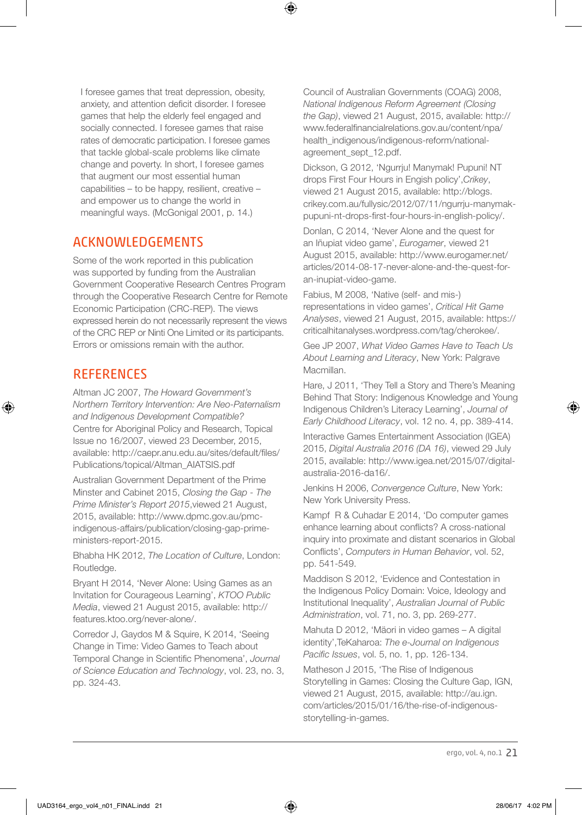⊕

I foresee games that treat depression, obesity, anxiety, and attention deficit disorder. I foresee games that help the elderly feel engaged and socially connected. I foresee games that raise rates of democratic participation. I foresee games that tackle global-scale problems like climate change and poverty. In short, I foresee games that augment our most essential human capabilities – to be happy, resilient, creative – and empower us to change the world in meaningful ways. (McGonigal 2001, p. 14.)

#### ACKNOWLEDGEMENTS

Some of the work reported in this publication was supported by funding from the Australian Government Cooperative Research Centres Program through the Cooperative Research Centre for Remote Economic Participation (CRC-REP). The views expressed herein do not necessarily represent the views of the CRC REP or Ninti One Limited or its participants. Errors or omissions remain with the author.

#### **REFERENCES**

⊕

Altman JC 2007, *The Howard Government's Northern Territory Intervention: Are Neo-Paternalism and Indigenous Development Compatible?* Centre for Aboriginal Policy and Research, Topical Issue no 16/2007, viewed 23 December, 2015, available: http://caepr.anu.edu.au/sites/default/files/ Publications/topical/Altman\_AIATSIS.pdf

Australian Government Department of the Prime Minster and Cabinet 2015, *Closing the Gap - The Prime Minister's Report 2015*,viewed 21 August, 2015, available: http://www.dpmc.gov.au/pmcindigenous-affairs/publication/closing-gap-primeministers-report-2015.

Bhabha HK 2012, *The Location of Culture*, London: Routledge.

Bryant H 2014, 'Never Alone: Using Games as an Invitation for Courageous Learning', *KTOO Public Media*, viewed 21 August 2015, available: http:// features.ktoo.org/never-alone/.

Corredor J, Gaydos M & Squire, K 2014, 'Seeing Change in Time: Video Games to Teach about Temporal Change in Scientific Phenomena', *Journal of Science Education and Technology*, vol. 23, no. 3, pp. 324-43.

Council of Australian Governments (COAG) 2008, *National Indigenous Reform Agreement (Closing the Gap)*, viewed 21 August, 2015, available: http:// www.federalfinancialrelations.gov.au/content/npa/ health\_indigenous/indigenous-reform/nationalagreement\_sept\_12.pdf.

Dickson, G 2012, 'Ngurrju! Manymak! Pupuni! NT drops First Four Hours in Engish policy',*Crikey*, viewed 21 August 2015, available: http://blogs. crikey.com.au/fullysic/2012/07/11/ngurrju-manymakpupuni-nt-drops-first-four-hours-in-english-policy/.

Donlan, C 2014, 'Never Alone and the quest for an Iñupiat video game', *Eurogamer*, viewed 21 August 2015, available: http://www.eurogamer.net/ articles/2014-08-17-never-alone-and-the-quest-foran-inupiat-video-game.

Fabius, M 2008, 'Native (self- and mis-) representations in video games', *Critical Hit Game Analyses*, viewed 21 August, 2015, available: https:// criticalhitanalyses.wordpress.com/tag/cherokee/.

Gee JP 2007, *What Video Games Have to Teach Us About Learning and Literacy*, New York: Palgrave Macmillan.

Hare, J 2011, 'They Tell a Story and There's Meaning Behind That Story: Indigenous Knowledge and Young Indigenous Children's Literacy Learning', *Journal of Early Childhood Literacy*, vol. 12 no. 4, pp. 389-414.

Interactive Games Entertainment Association (IGEA) 2015, *Digital Australia 2016 (DA 16)*, viewed 29 July 2015, available: http://www.igea.net/2015/07/digitalaustralia-2016-da16/.

Jenkins H 2006, *Convergence Culture*, New York: New York University Press.

Kampf R & Cuhadar E 2014, 'Do computer games enhance learning about conflicts? A cross-national inquiry into proximate and distant scenarios in Global Conflicts', *Computers in Human Behavior*, vol. 52, pp. 541-549.

Maddison S 2012, 'Evidence and Contestation in the Indigenous Policy Domain: Voice, Ideology and Institutional Inequality', *Australian Journal of Public Administration*, vol. 71, no. 3, pp. 269-277.

Mahuta D 2012, 'Mäori in video games – A digital identity',TeKaharoa: *The e-Journal on Indigenous Pacific Issues*, vol. 5, no. 1, pp. 126-134.

Matheson J 2015, 'The Rise of Indigenous Storytelling in Games: Closing the Culture Gap, IGN, viewed 21 August, 2015, available: http://au.ign. com/articles/2015/01/16/the-rise-of-indigenousstorytelling-in-games.

ergo, vol. 4, no.1 21

⊕